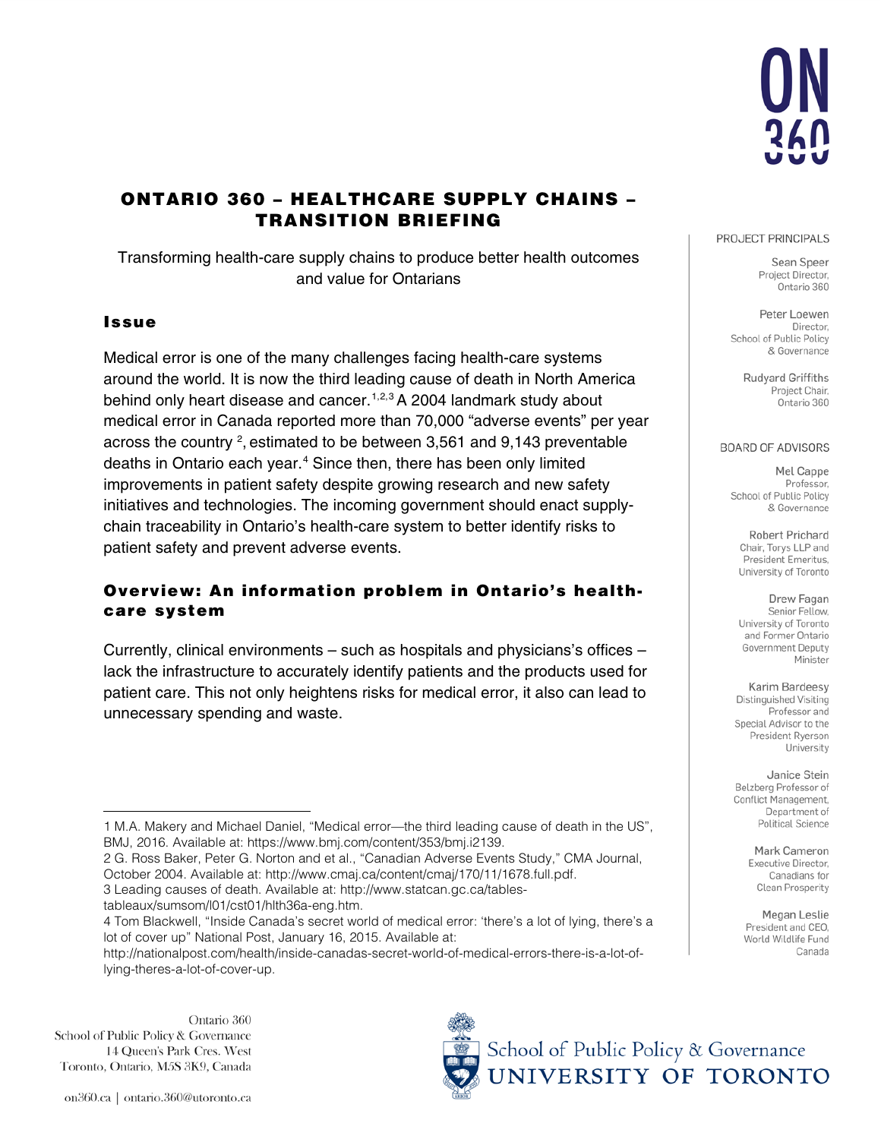

# ONTARIO 360 – HEALTHCARE SUPPLY CHAINS – TRANSITION BRIEFING

Transforming health-care supply chains to produce better health outcomes and value for Ontarians

### Issue

Medical error is one of the many challenges facing health-care systems around the world. It is now the third leading cause of death in North America behind only heart disease and cancer.<sup>[1](#page-0-0),[2,](#page-0-1)[3](#page-0-2)</sup> A 2004 landmark study about medical error in Canada reported more than 70,000 "adverse events" per year across the country  $^2$ , estimated to be between 3,561 and 9,143 preventable deaths in Ontario each year. [4](#page-0-3) Since then, there has been only limited improvements in patient safety despite growing research and new safety initiatives and technologies. The incoming government should enact supplychain traceability in Ontario's health-care system to better identify risks to patient safety and prevent adverse events.

### Overview: An information problem in Ontario's healthcare system

Currently, clinical environments – such as hospitals and physicians's offices – lack the infrastructure to accurately identify patients and the products used for patient care. This not only heightens risks for medical error, it also can lead to unnecessary spending and waste.

<span id="page-0-1"></span>2 G. Ross Baker, Peter G. Norton and et al., "Canadian Adverse Events Study," CMA Journal, October 2004. Available at: [http://www.cmaj.ca/content/cmaj/170/11/1678.full.pdf.](http://www.cmaj.ca/content/cmaj/170/11/1678.full.pdf) 3 Leading causes of death. Available at[: http://www.statcan.gc.ca/tables-](http://www.statcan.gc.ca/tables-tableaux/sumsom/l01/cst01/hlth36a-eng.htm)

<span id="page-0-2"></span>[tableaux/sumsom/l01/cst01/hlth36a-eng.htm.](http://www.statcan.gc.ca/tables-tableaux/sumsom/l01/cst01/hlth36a-eng.htm)

Ontario 360 School of Public Policy & Governance 14 Queen's Park Cres. West Toronto, Ontario, M5S 3K9, Canada

#### PROJECT PRINCIPALS

Sean Speer Project Director, Ontario 360

Peter Loewen Director. School of Public Policy & Governance

> Rudyard Griffiths Project Chair, Ontario 360

#### **BOARD OF ADVISORS**

Mel Cappe Professor. School of Public Policy & Governance

Robert Prichard Chair, Torys LLP and President Emeritus. University of Toronto

Drew Fagan Senior Fellow, University of Toronto and Former Ontario Government Deputy Minister

Karim Bardeesy Distinguished Visiting Professor and Special Advisor to the President Ryerson University

Janice Stein Belzberg Professor of Conflict Management, Department of Political Science

> Mark Cameron Executive Director. Canadians for Clean Prosperity

Megan Leslie President and CEO, World Wildlife Fund Canada



<span id="page-0-0"></span> $\overline{a}$ 1 M.A. Makery and Michael Daniel, "Medical error—the third leading cause of death in the US", BMJ, 2016. Available at: [https://www.bmj.com/content/353/bmj.i2139.](https://www.bmj.com/content/353/bmj.i2139)

<span id="page-0-3"></span><sup>4</sup> Tom Blackwell, "Inside Canada's secret world of medical error: 'there's a lot of lying, there's a lot of cover up" National Post, January 16, 2015. Available at:

[http://nationalpost.com/health/inside-canadas-secret-world-of-medical-errors-there-is-a-lot-of](http://nationalpost.com/health/inside-canadas-secret-world-of-medical-errors-there-is-a-lot-of-lying-theres-a-lot-of-cover-up)[lying-theres-a-lot-of-cover-up.](http://nationalpost.com/health/inside-canadas-secret-world-of-medical-errors-there-is-a-lot-of-lying-theres-a-lot-of-cover-up)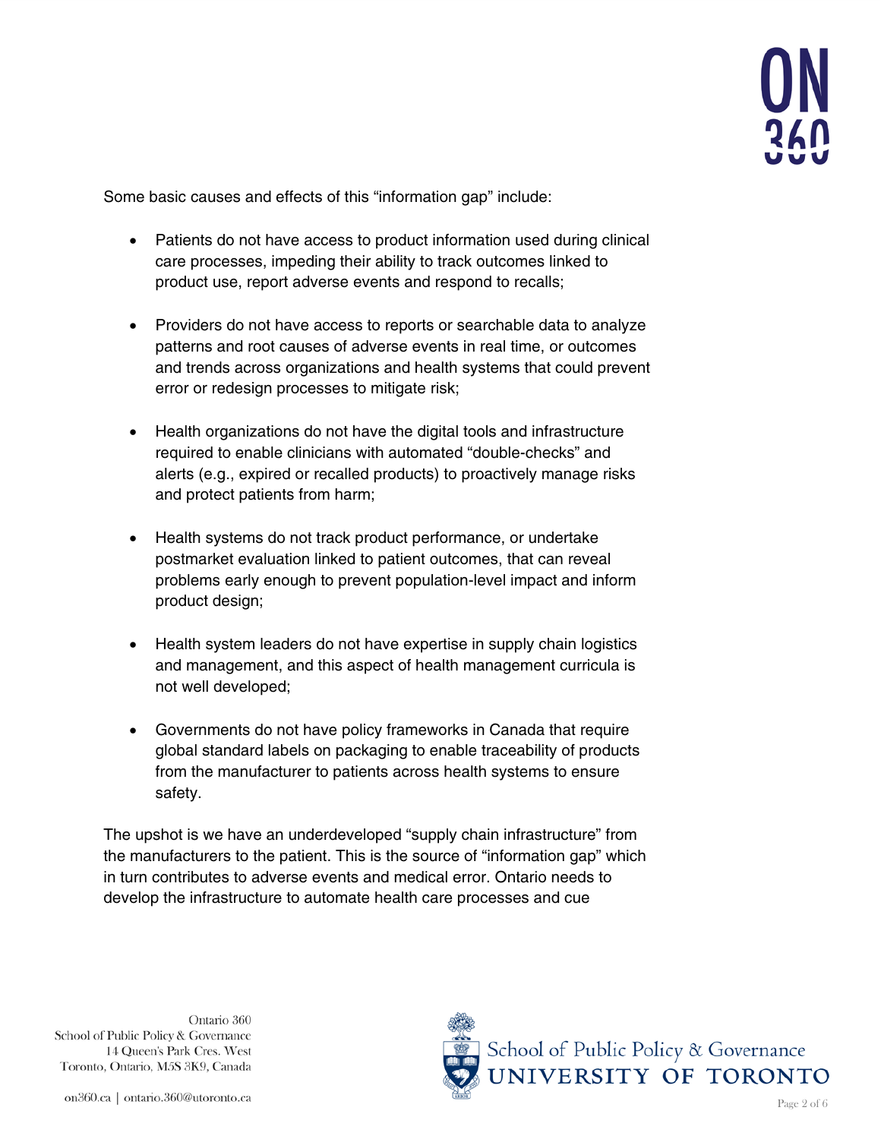

Some basic causes and effects of this "information gap" include:

- Patients do not have access to product information used during clinical care processes, impeding their ability to track outcomes linked to product use, report adverse events and respond to recalls;
- Providers do not have access to reports or searchable data to analyze patterns and root causes of adverse events in real time, or outcomes and trends across organizations and health systems that could prevent error or redesign processes to mitigate risk;
- Health organizations do not have the digital tools and infrastructure required to enable clinicians with automated "double-checks" and alerts (e.g., expired or recalled products) to proactively manage risks and protect patients from harm;
- Health systems do not track product performance, or undertake postmarket evaluation linked to patient outcomes, that can reveal problems early enough to prevent population-level impact and inform product design;
- Health system leaders do not have expertise in supply chain logistics and management, and this aspect of health management curricula is not well developed;
- Governments do not have policy frameworks in Canada that require global standard labels on packaging to enable traceability of products from the manufacturer to patients across health systems to ensure safety.

The upshot is we have an underdeveloped "supply chain infrastructure" from the manufacturers to the patient. This is the source of "information gap" which in turn contributes to adverse events and medical error. Ontario needs to develop the infrastructure to automate health care processes and cue

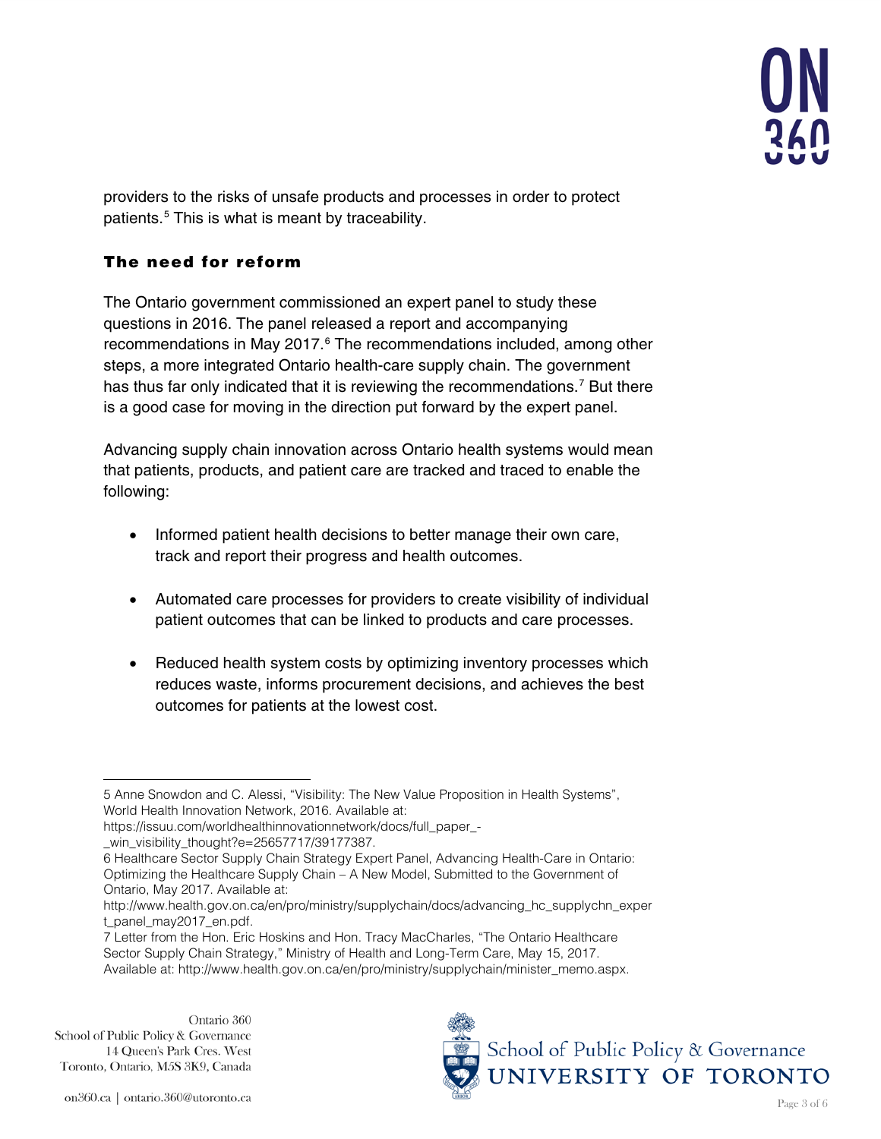

providers to the risks of unsafe products and processes in order to protect patients.[5](#page-2-0) This is what is meant by traceability.

## The need for reform

The Ontario government commissioned an expert panel to study these questions in 2016. The panel released a report and accompanying recommendations in May 2017.<sup>[6](#page-2-1)</sup> The recommendations included, among other steps, a more integrated Ontario health-care supply chain. The government has thus far only indicated that it is reviewing the recommendations.<sup>[7](#page-2-2)</sup> But there is a good case for moving in the direction put forward by the expert panel.

Advancing supply chain innovation across Ontario health systems would mean that patients, products, and patient care are tracked and traced to enable the following:

- Informed patient health decisions to better manage their own care, track and report their progress and health outcomes.
- Automated care processes for providers to create visibility of individual patient outcomes that can be linked to products and care processes.
- Reduced health system costs by optimizing inventory processes which reduces waste, informs procurement decisions, and achieves the best outcomes for patients at the lowest cost.



<span id="page-2-0"></span> $\overline{a}$ 5 Anne Snowdon and C. Alessi, "Visibility: The New Value Proposition in Health Systems", World Health Innovation Network, 2016. Available at:

[https://issuu.com/worldhealthinnovationnetwork/docs/full\\_paper\\_-](https://issuu.com/worldhealthinnovationnetwork/docs/full_paper_-_win_visibility_thought?e=25657717/39177387)

[\\_win\\_visibility\\_thought?e=25657717/39177387.](https://issuu.com/worldhealthinnovationnetwork/docs/full_paper_-_win_visibility_thought?e=25657717/39177387)

<span id="page-2-1"></span><sup>6</sup> Healthcare Sector Supply Chain Strategy Expert Panel, Advancing Health-Care in Ontario: Optimizing the Healthcare Supply Chain – A New Model, Submitted to the Government of Ontario, May 2017. Available at:

[http://www.health.gov.on.ca/en/pro/ministry/supplychain/docs/advancing\\_hc\\_supplychn\\_exper](http://www.health.gov.on.ca/en/pro/ministry/supplychain/docs/advancing_hc_supplychn_expert_panel_may2017_en.pdf) [t\\_panel\\_may2017\\_en.pdf.](http://www.health.gov.on.ca/en/pro/ministry/supplychain/docs/advancing_hc_supplychn_expert_panel_may2017_en.pdf)

<span id="page-2-2"></span><sup>7</sup> Letter from the Hon. Eric Hoskins and Hon. Tracy MacCharles, "The Ontario Healthcare Sector Supply Chain Strategy," Ministry of Health and Long-Term Care, May 15, 2017. Available at: [http://www.health.gov.on.ca/en/pro/ministry/supplychain/minister\\_memo.aspx.](http://www.health.gov.on.ca/en/pro/ministry/supplychain/minister_memo.aspx)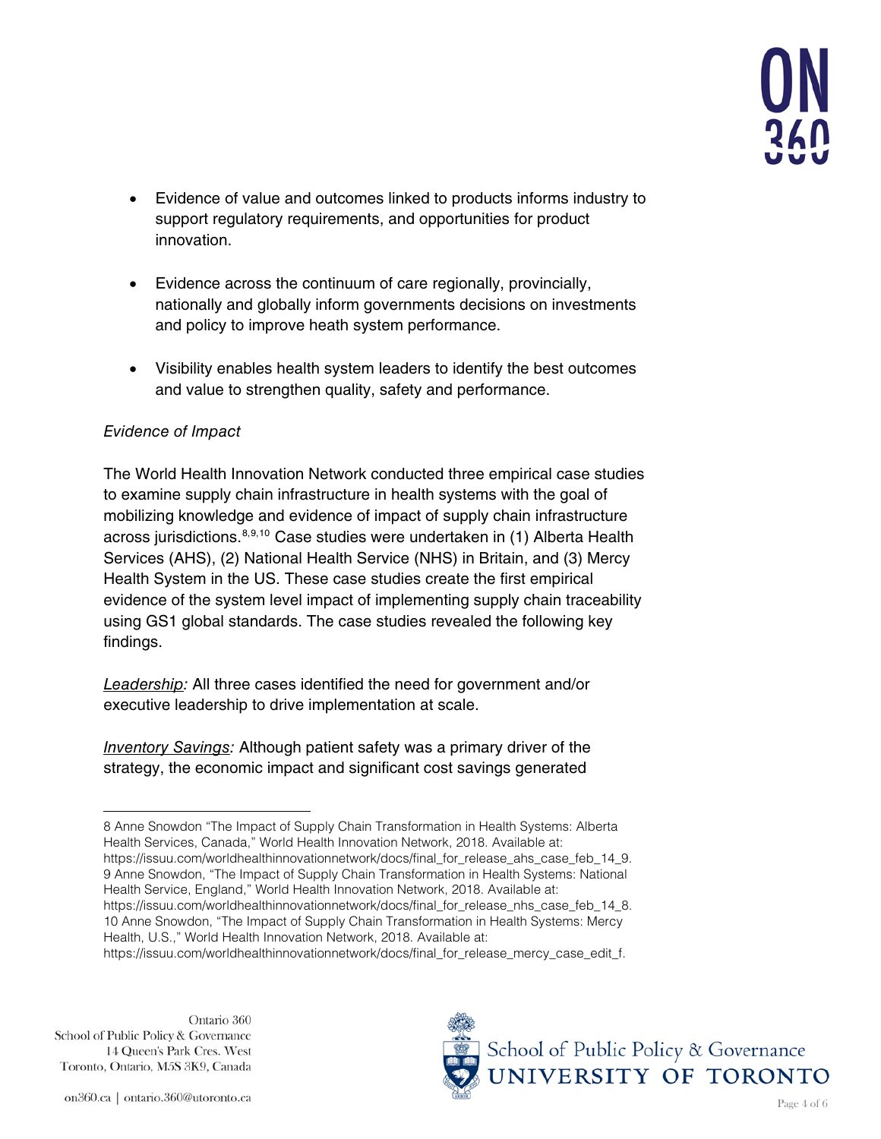

- Evidence of value and outcomes linked to products informs industry to support regulatory requirements, and opportunities for product innovation.
- Evidence across the continuum of care regionally, provincially, nationally and globally inform governments decisions on investments and policy to improve heath system performance.
- Visibility enables health system leaders to identify the best outcomes and value to strengthen quality, safety and performance.

### *Evidence of Impact*

The World Health Innovation Network conducted three empirical case studies to examine supply chain infrastructure in health systems with the goal of mobilizing knowledge and evidence of impact of supply chain infrastructure across jurisdictions[.8](#page-3-0),[9](#page-3-1),[10](#page-3-2) Case studies were undertaken in (1) Alberta Health Services (AHS), (2) National Health Service (NHS) in Britain, and (3) Mercy Health System in the US. These case studies create the first empirical evidence of the system level impact of implementing supply chain traceability using GS1 global standards. The case studies revealed the following key findings.

*Leadership:* All three cases identified the need for government and/or executive leadership to drive implementation at scale.

*Inventory Savings:* Although patient safety was a primary driver of the strategy, the economic impact and significant cost savings generated

<span id="page-3-2"></span>Ontario 360 School of Public Policy & Governance 14 Queen's Park Cres. West Toronto, Ontario, M5S 3K9, Canada



<span id="page-3-1"></span><span id="page-3-0"></span> $\overline{a}$ 8 Anne Snowdon "The Impact of Supply Chain Transformation in Health Systems: Alberta Health Services, Canada," World Health Innovation Network, 2018. Available at: [https://issuu.com/worldhealthinnovationnetwork/docs/final\\_for\\_release\\_ahs\\_case\\_feb\\_14\\_9.](https://issuu.com/worldhealthinnovationnetwork/docs/final_for_release_ahs_case_feb_14_9) 9 Anne Snowdon, "The Impact of Supply Chain Transformation in Health Systems: National Health Service, England," World Health Innovation Network, 2018. Available at: [https://issuu.com/worldhealthinnovationnetwork/docs/final\\_for\\_release\\_nhs\\_case\\_feb\\_14\\_8.](https://issuu.com/worldhealthinnovationnetwork/docs/final_for_release_nhs_case_feb_14_8) 10 Anne Snowdon, "The Impact of Supply Chain Transformation in Health Systems: Mercy Health, U.S.," World Health Innovation Network, 2018. Available at: [https://issuu.com/worldhealthinnovationnetwork/docs/final\\_for\\_release\\_mercy\\_case\\_edit\\_f.](https://issuu.com/worldhealthinnovationnetwork/docs/final_for_release_mercy_case_edit_f)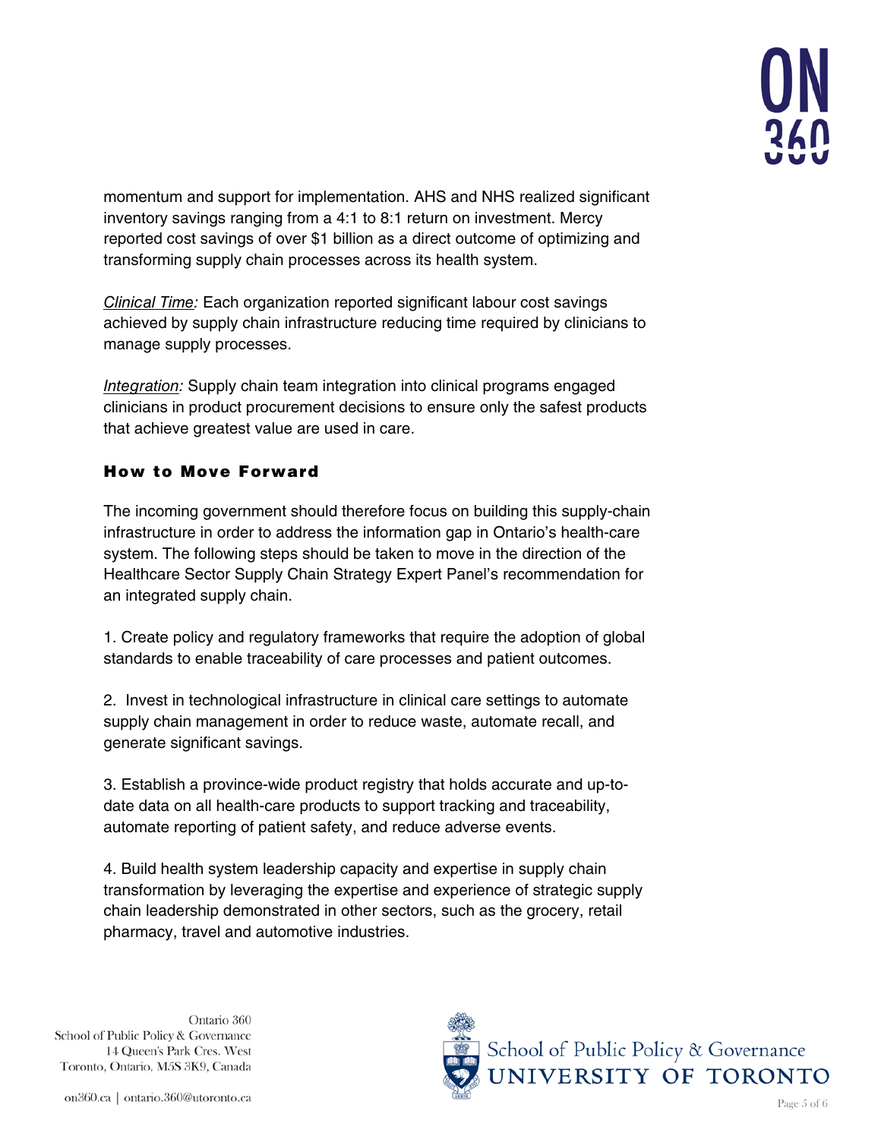

momentum and support for implementation. AHS and NHS realized significant inventory savings ranging from a 4:1 to 8:1 return on investment. Mercy reported cost savings of over \$1 billion as a direct outcome of optimizing and transforming supply chain processes across its health system.

*Clinical Time:* Each organization reported significant labour cost savings achieved by supply chain infrastructure reducing time required by clinicians to manage supply processes.

*Integration:* Supply chain team integration into clinical programs engaged clinicians in product procurement decisions to ensure only the safest products that achieve greatest value are used in care.

## How to Move Forward

The incoming government should therefore focus on building this supply-chain infrastructure in order to address the information gap in Ontario's health-care system. The following steps should be taken to move in the direction of the Healthcare Sector Supply Chain Strategy Expert Panel's recommendation for an integrated supply chain.

1. Create policy and regulatory frameworks that require the adoption of global standards to enable traceability of care processes and patient outcomes.

2. Invest in technological infrastructure in clinical care settings to automate supply chain management in order to reduce waste, automate recall, and generate significant savings.

3. Establish a province-wide product registry that holds accurate and up-todate data on all health-care products to support tracking and traceability, automate reporting of patient safety, and reduce adverse events.

4. Build health system leadership capacity and expertise in supply chain transformation by leveraging the expertise and experience of strategic supply chain leadership demonstrated in other sectors, such as the grocery, retail pharmacy, travel and automotive industries.